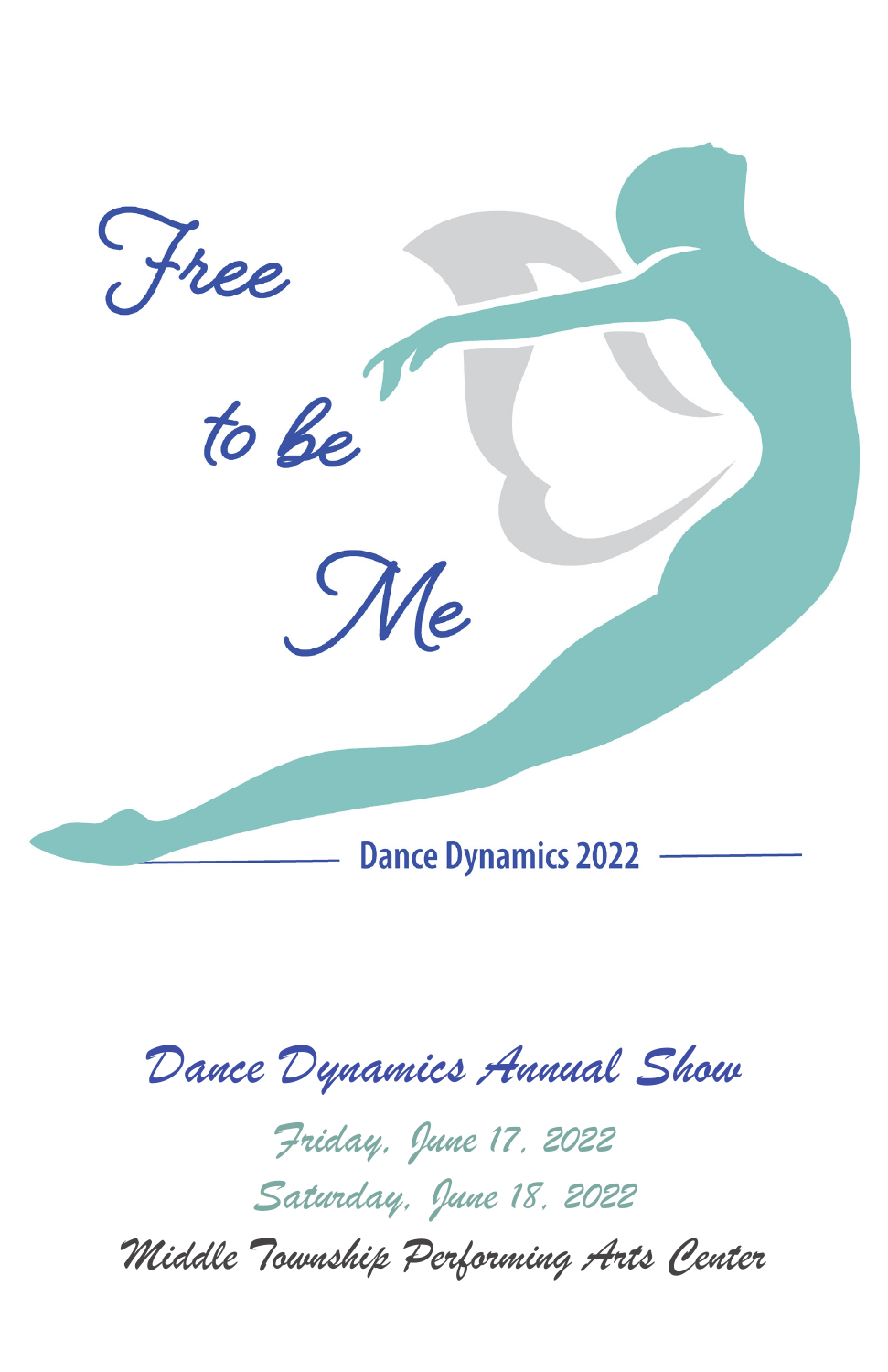

# *Dance Dynamics Annual Show*

*Friday, June 17, 2022 Saturday, June 18, 2022 Middle Township Performing Arts Center*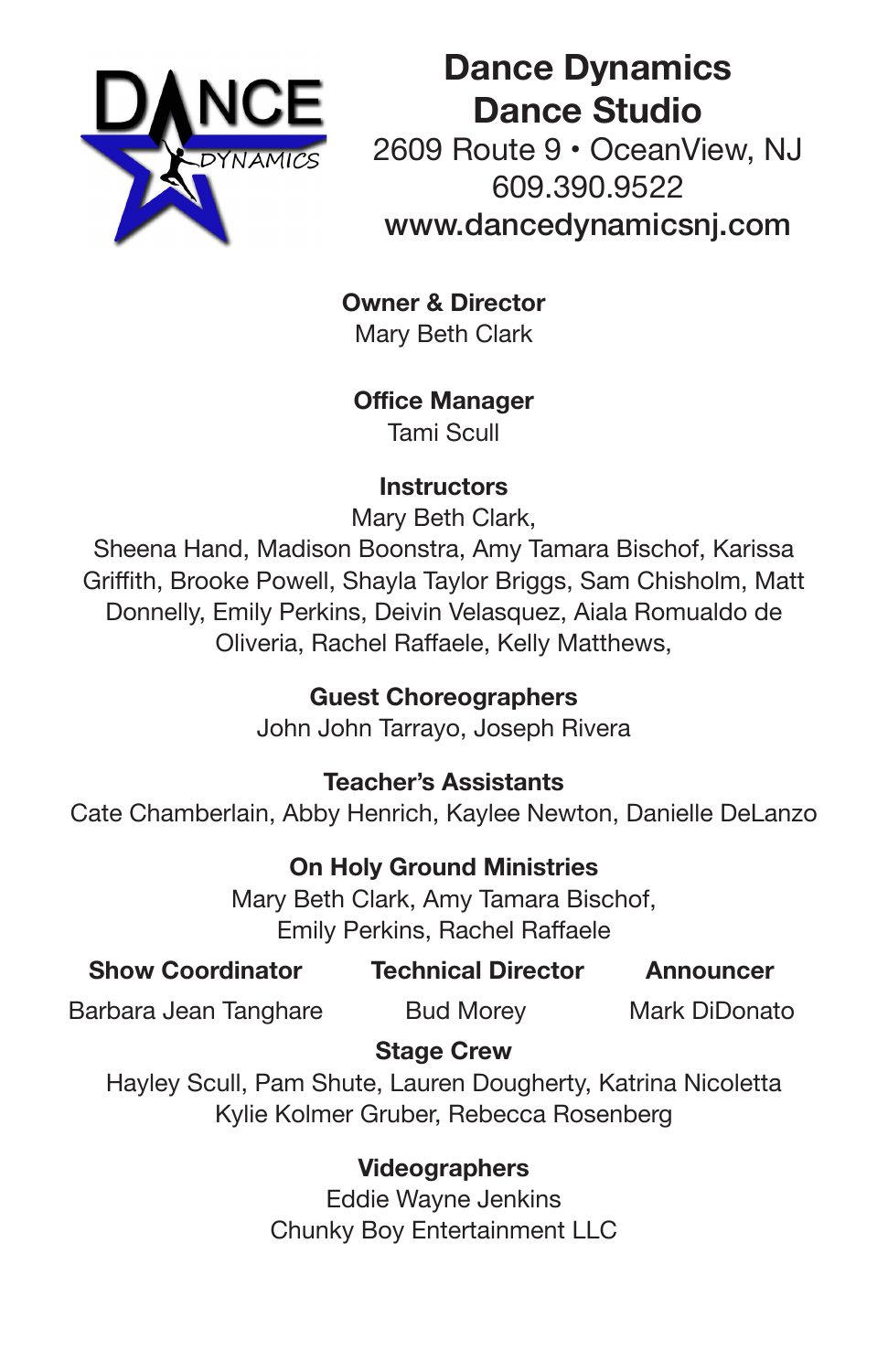

**Dance Dynamics Dance Studio** 2609 Route 9 • OceanView, NJ 609.390.9522 www.dancedynamicsnj.com

**Owner & Director** Mary Beth Clark

**Office Manager** Tami Scull

### **Instructors**

Mary Beth Clark,

Sheena Hand, Madison Boonstra, Amy Tamara Bischof, Karissa Griffith, Brooke Powell, Shayla Taylor Briggs, Sam Chisholm, Matt Donnelly, Emily Perkins, Deivin Velasquez, Aiala Romualdo de Oliveria, Rachel Raffaele, Kelly Matthews,

# **Guest Choreographers**

John John Tarrayo, Joseph Rivera

## **Teacher's Assistants**

Cate Chamberlain, Abby Henrich, Kaylee Newton, Danielle DeLanzo

**On Holy Ground Ministries**

Mary Beth Clark, Amy Tamara Bischof, Emily Perkins, Rachel Raffaele

| <b>Show Coordinator</b> |  |  | <b>Technical Director</b> |  |  | Announcer |  |  |  |  |
|-------------------------|--|--|---------------------------|--|--|-----------|--|--|--|--|
|                         |  |  |                           |  |  |           |  |  |  |  |

Barbara Jean Tanghare Bud Morey Mark DiDonato

## **Stage Crew**

Hayley Scull, Pam Shute, Lauren Dougherty, Katrina Nicoletta Kylie Kolmer Gruber, Rebecca Rosenberg

> **Videographers** Eddie Wayne Jenkins Chunky Boy Entertainment LLC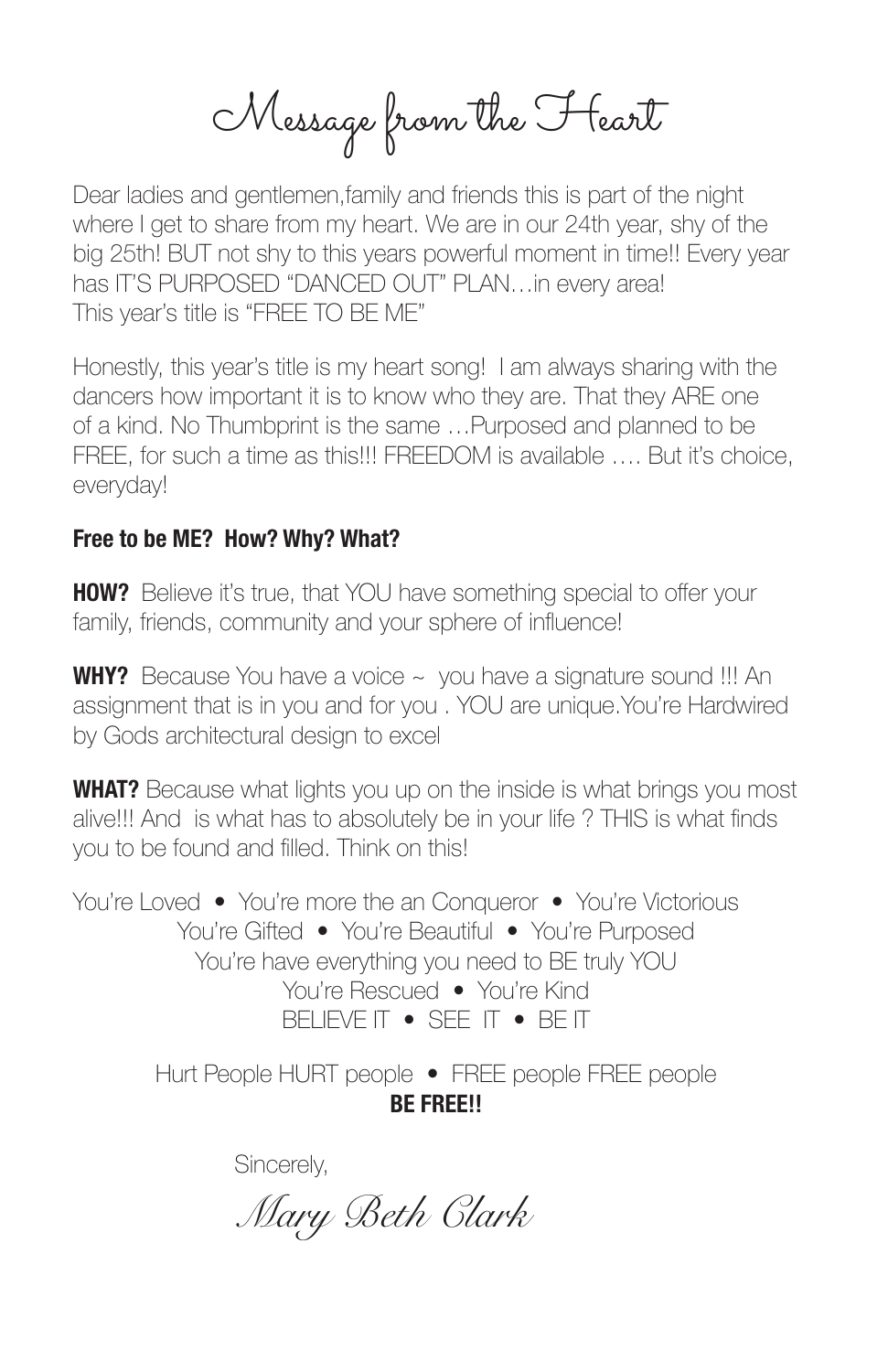Message from the Heart

Dear ladies and gentlemen, family and friends this is part of the night where I get to share from my heart. We are in our 24th year, shy of the big 25th! BUT not shy to this years powerful moment in time!! Every year has IT'S PURPOSED "DANCED OUT" PLAN…in every area! This year's title is "FREE TO BE ME"

Honestly, this year's title is my heart song! I am always sharing with the dancers how important it is to know who they are. That they ARE one of a kind. No Thumbprint is the same …Purposed and planned to be FREE, for such a time as this!!! FREEDOM is available …. But it's choice, everyday!

### **Free to be ME? How? Why? What?**

**HOW?** Believe it's true, that YOU have something special to offer your family, friends, community and your sphere of influence!

**WHY?** Because You have a voice ~ you have a signature sound !!! An assignment that is in you and for you . YOU are unique.You're Hardwired by Gods architectural design to excel

**WHAT?** Because what lights you up on the inside is what brings you most alive!!! And is what has to absolutely be in your life ? THIS is what finds you to be found and filled. Think on this!

You're Loved • You're more the an Conqueror • You're Victorious You're Gifted • You're Beautiful • You're Purposed You're have everything you need to BE truly YOU You're Rescued • You're Kind BELIEVE IT • SEE IT • BE IT

> Hurt People HURT people • FREE people FREE people **BE FREE!!**

> > Sincerely,

 *Mary Beth Clark*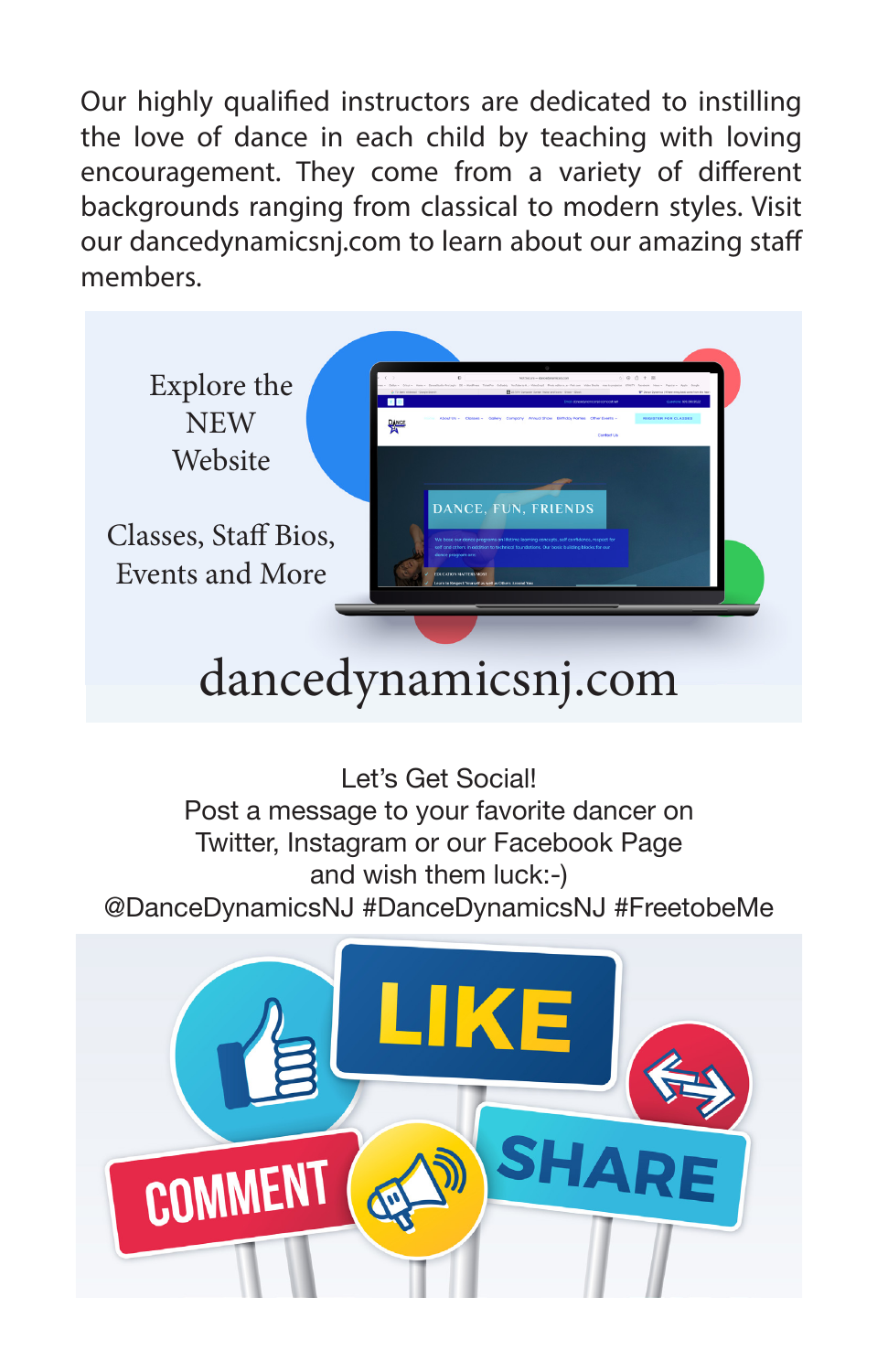Our highly qualified instructors are dedicated to instilling the love of dance in each child by teaching with loving encouragement. They come from a variety of different backgrounds ranging from classical to modern styles. Visit our dancedynamicsnj.com to learn about our amazing staff members.



# dancedynamicsnj.com

Let's Get Social! Post a message to your favorite dancer on Twitter, Instagram or our Facebook Page and wish them luck:-) @DanceDynamicsNJ #DanceDynamicsNJ #FreetobeMe

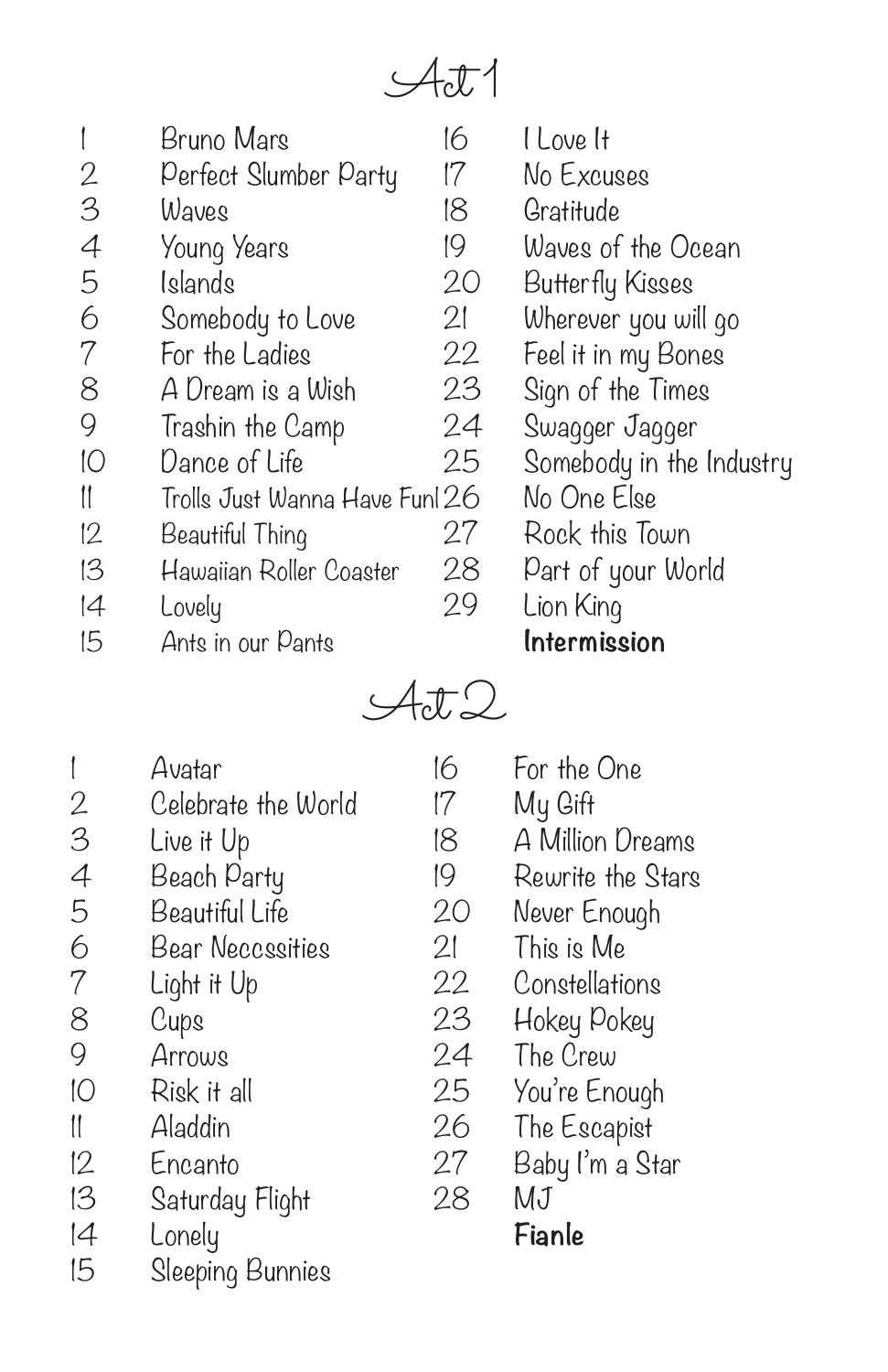$\mathcal{A}$ ct 1

|    | Bruno Mars                     | 16 | I Love It                |
|----|--------------------------------|----|--------------------------|
| 2  | Perfect Slumber Party          | 17 | No Excuses               |
| 3  | Waves                          | 18 | Gratitude                |
| 4  | Young Years                    | 19 | Waves of the Ocean       |
| 5  | Islands                        | 20 | Butterfly Kisses         |
| 6  | Somebody to Love               | 21 | Wherever you will go     |
| 7  | For the Ladies                 | 22 | Feel it in my Bones      |
| 8  | A Dream is a Wish              | 23 | Sign of the Times        |
| 9  | Trashin the Camp               | 24 | Swagger Jagger           |
| 10 | Dance of Life                  | 25 | Somebody in the Industry |
| 11 | Trolls Just Wanna Have Funl 26 |    | No One Else              |
| 12 | Beautiful Thing                | 27 | Rock this Town           |
| 13 | Hawaiian Roller Coaster        | 28 | Part of your World       |
| 4  | Lovely                         | 29 | Lion King                |
| 15 | Ants in our Pants              |    | Intermission             |

 $\mathcal{A}t2$ 

|                | Avatar                  | 16 | F                        |
|----------------|-------------------------|----|--------------------------|
|                | Celebrate the World     | 17 | Ņ                        |
| $\frac{2}{3}$  | Live it Up              | 18 | f                        |
| $\overline{4}$ | Beach Party             | 19 | F                        |
| 5              | Beautiful Life          | 20 | Ņ                        |
| 6              | <b>Bear Neccssities</b> | 21 | 1                        |
| $\overline{7}$ | Light it Up             | 22 | C                        |
| 8              | Cups                    | 23 | $\downarrow$             |
| 9              | Arrows                  | 24 | $\mathcal{I}$            |
| 10             | Risk it all             | 25 | Y                        |
| 11             | Aladdin                 | 26 | $\overline{\mathcal{L}}$ |
| 12             | Encanto                 | 27 | E                        |
| 13             | Saturday Flight         | 28 | Ņ                        |
| 4              | Lonely                  |    | F                        |
| 15             | Sleeping Bunnies        |    |                          |

For the One My Gift A Million Dreams Rewrite the Stars Vever Enough This is Me Constellations Hokey Pokey The Crew ou're Enough The Escapist 3aby I'm a Star MJ **Fianle**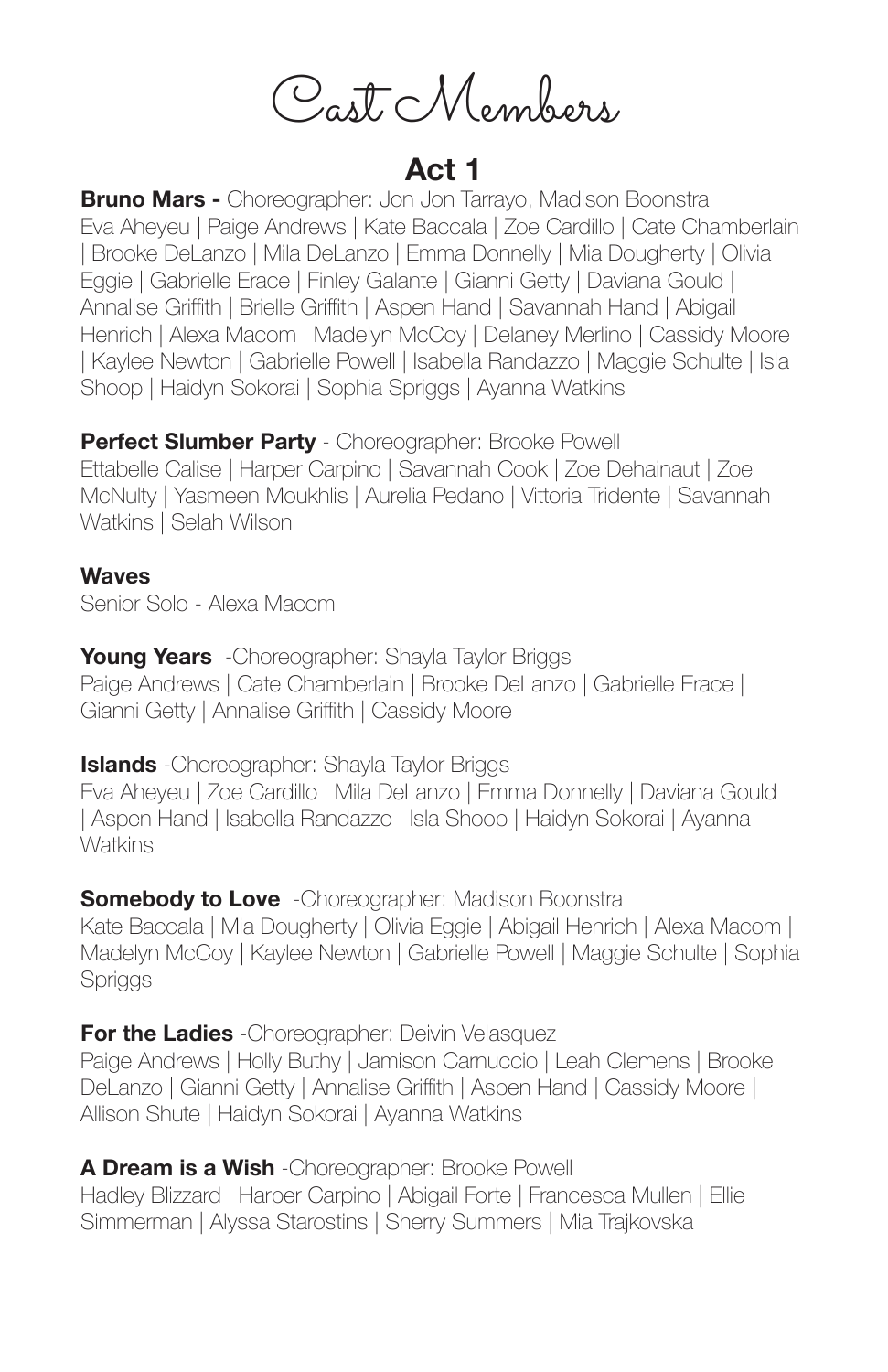Cast Members

# **Act 1**

**Bruno Mars -** Choreographer: Jon Jon Tarrayo, Madison Boonstra Eva Aheyeu | Paige Andrews | Kate Baccala | Zoe Cardillo | Cate Chamberlain | Brooke DeLanzo | Mila DeLanzo | Emma Donnelly | Mia Dougherty | Olivia Eggie | Gabrielle Erace | Finley Galante | Gianni Getty | Daviana Gould | Annalise Griffith | Brielle Griffith | Aspen Hand | Savannah Hand | Abigail Henrich | Alexa Macom | Madelyn McCoy | Delaney Merlino | Cassidy Moore | Kaylee Newton | Gabrielle Powell | Isabella Randazzo | Maggie Schulte | Isla Shoop | Haidyn Sokorai | Sophia Spriggs | Ayanna Watkins

**Perfect Slumber Party** - Choreographer: Brooke Powell Ettabelle Calise | Harper Carpino | Savannah Cook | Zoe Dehainaut | Zoe McNulty | Yasmeen Moukhlis | Aurelia Pedano | Vittoria Tridente | Savannah Watkins | Selah Wilson

#### **Waves**

Senior Solo - Alexa Macom

**Young Years** -Choreographer: Shayla Taylor Briggs Paige Andrews | Cate Chamberlain | Brooke DeLanzo | Gabrielle Erace | Gianni Getty | Annalise Griffith | Cassidy Moore

**Islands** -Choreographer: Shayla Taylor Briggs Eva Aheyeu | Zoe Cardillo | Mila DeLanzo | Emma Donnelly | Daviana Gould | Aspen Hand | Isabella Randazzo | Isla Shoop | Haidyn Sokorai | Ayanna **Watkins** 

**Somebody to Love** - Choreographer: Madison Boonstra Kate Baccala | Mia Dougherty | Olivia Eggie | Abigail Henrich | Alexa Macom | Madelyn McCoy | Kaylee Newton | Gabrielle Powell | Maggie Schulte | Sophia **Spriggs** 

**For the Ladies** -Choreographer: Deivin Velasquez Paige Andrews | Holly Buthy | Jamison Carnuccio | Leah Clemens | Brooke DeLanzo | Gianni Getty | Annalise Griffith | Aspen Hand | Cassidy Moore | Allison Shute | Haidyn Sokorai | Ayanna Watkins

**A Dream is a Wish** -Choreographer: Brooke Powell Hadley Blizzard | Harper Carpino | Abigail Forte | Francesca Mullen | Ellie Simmerman | Alyssa Starostins | Sherry Summers | Mia Trajkovska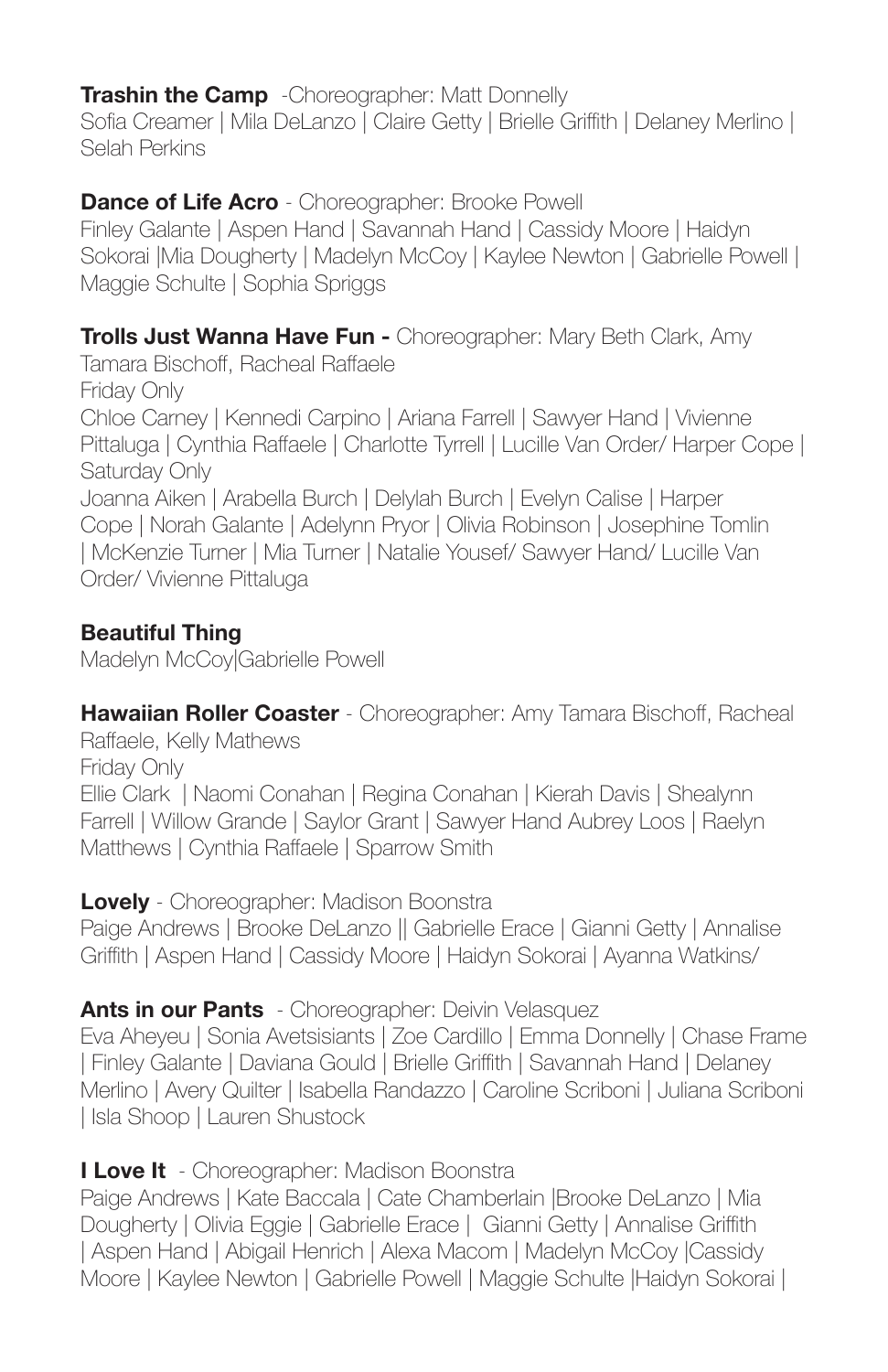### **Trashin the Camp** - Choreographer: Matt Donnelly

Sofia Creamer | Mila DeLanzo | Claire Getty | Brielle Griffith | Delaney Merlino | Selah Perkins

### **Dance of Life Acro** - Choreographer: Brooke Powell

Finley Galante | Aspen Hand | Savannah Hand | Cassidy Moore | Haidyn Sokorai |Mia Dougherty | Madelyn McCoy | Kaylee Newton | Gabrielle Powell | Maggie Schulte | Sophia Spriggs

### **Trolls Just Wanna Have Fun -** Choreographer: Mary Beth Clark, Amy

Tamara Bischoff, Racheal Raffaele Friday Only Chloe Carney | Kennedi Carpino | Ariana Farrell | Sawyer Hand | Vivienne Pittaluga | Cynthia Raffaele | Charlotte Tyrrell | Lucille Van Order/ Harper Cope | Saturday Only Joanna Aiken | Arabella Burch | Delylah Burch | Evelyn Calise | Harper Cope | Norah Galante | Adelynn Pryor | Olivia Robinson | Josephine Tomlin | McKenzie Turner | Mia Turner | Natalie Yousef/ Sawyer Hand/ Lucille Van Order/ Vivienne Pittaluga

### **Beautiful Thing**

Madelyn McCoy|Gabrielle Powell

**Hawaiian Roller Coaster** - Choreographer: Amy Tamara Bischoff, Racheal Raffaele, Kelly Mathews Friday Only

Ellie Clark | Naomi Conahan | Regina Conahan | Kierah Davis | Shealynn Farrell | Willow Grande | Saylor Grant | Sawyer Hand Aubrey Loos | Raelyn Matthews | Cynthia Raffaele | Sparrow Smith

**Lovely** - Choreographer: Madison Boonstra

Paige Andrews | Brooke DeLanzo || Gabrielle Erace | Gianni Getty | Annalise Griffith | Aspen Hand | Cassidy Moore | Haidyn Sokorai | Ayanna Watkins/

### **Ants in our Pants** - Choreographer: Deivin Velasquez

Eva Aheyeu | Sonia Avetsisiants | Zoe Cardillo | Emma Donnelly | Chase Frame | Finley Galante | Daviana Gould | Brielle Griffith | Savannah Hand | Delaney Merlino | Avery Quilter | Isabella Randazzo | Caroline Scriboni | Juliana Scriboni | Isla Shoop | Lauren Shustock

### **I Love It** - Choreographer: Madison Boonstra

Paige Andrews | Kate Baccala | Cate Chamberlain |Brooke DeLanzo | Mia Dougherty | Olivia Eggie | Gabrielle Erace | Gianni Getty | Annalise Griffith | Aspen Hand | Abigail Henrich | Alexa Macom | Madelyn McCoy |Cassidy Moore | Kaylee Newton | Gabrielle Powell | Maggie Schulte |Haidyn Sokorai |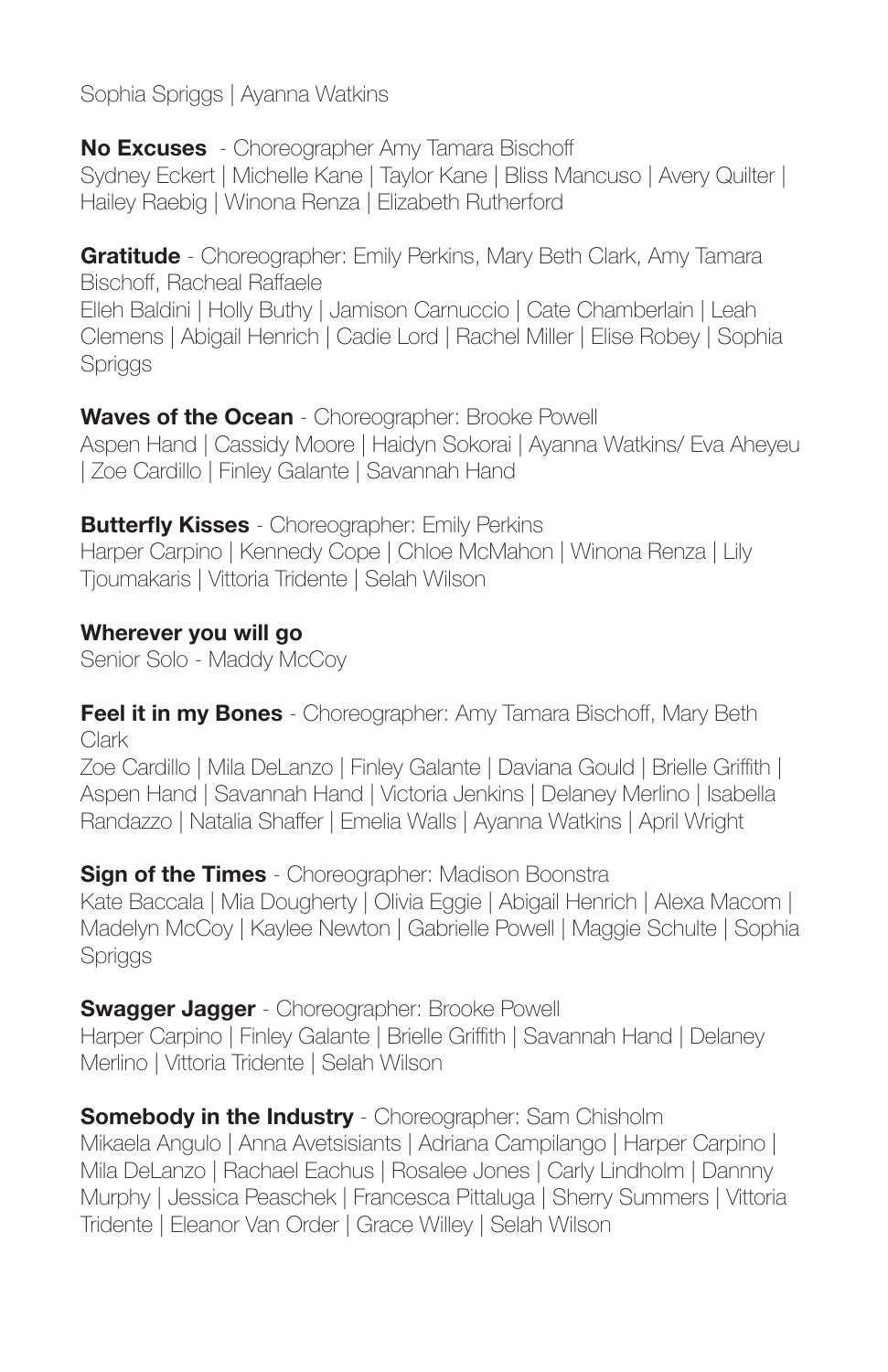Sophia Spriggs | Ayanna Watkins

**No Excuses** - Choreographer Amy Tamara Bischoff Sydney Eckert | Michelle Kane | Taylor Kane | Bliss Mancuso | Avery Quilter | Hailey Raebig | Winona Renza | Elizabeth Rutherford

**Gratitude** - Choreographer: Emily Perkins, Mary Beth Clark, Amy Tamara Bischoff, Racheal Raffaele

Elleh Baldini | Holly Buthy | Jamison Carnuccio | Cate Chamberlain | Leah Clemens | Abigail Henrich | Cadie Lord | Rachel Miller | Elise Robey | Sophia Spriggs

**Waves of the Ocean** - Choreographer: Brooke Powell Aspen Hand | Cassidy Moore | Haidyn Sokorai | Ayanna Watkins/ Eva Aheyeu | Zoe Cardillo | Finley Galante | Savannah Hand

**Butterfly Kisses** - Choreographer: Emily Perkins Harper Carpino | Kennedy Cope | Chloe McMahon | Winona Renza | Lily Tjoumakaris | Vittoria Tridente | Selah Wilson

**Wherever you will go** Senior Solo - Maddy McCoy

**Feel it in my Bones** - Choreographer: Amy Tamara Bischoff, Mary Beth Clark

Zoe Cardillo | Mila DeLanzo | Finley Galante | Daviana Gould | Brielle Griffith | Aspen Hand | Savannah Hand | Victoria Jenkins | Delaney Merlino | Isabella Randazzo | Natalia Shaffer | Emelia Walls | Ayanna Watkins | April Wright

**Sign of the Times** - Choreographer: Madison Boonstra Kate Baccala | Mia Dougherty | Olivia Eggie | Abigail Henrich | Alexa Macom | Madelyn McCoy | Kaylee Newton | Gabrielle Powell | Maggie Schulte | Sophia **Spriggs** 

**Swagger Jagger** - Choreographer: Brooke Powell Harper Carpino | Finley Galante | Brielle Griffith | Savannah Hand | Delaney Merlino | Vittoria Tridente | Selah Wilson

**Somebody in the Industry** - Choreographer: Sam Chisholm Mikaela Angulo | Anna Avetsisiants | Adriana Campilango | Harper Carpino | Mila DeLanzo | Rachael Eachus | Rosalee Jones | Carly Lindholm | Dannny Murphy | Jessica Peaschek | Francesca Pittaluga | Sherry Summers | Vittoria Tridente | Eleanor Van Order | Grace Willey | Selah Wilson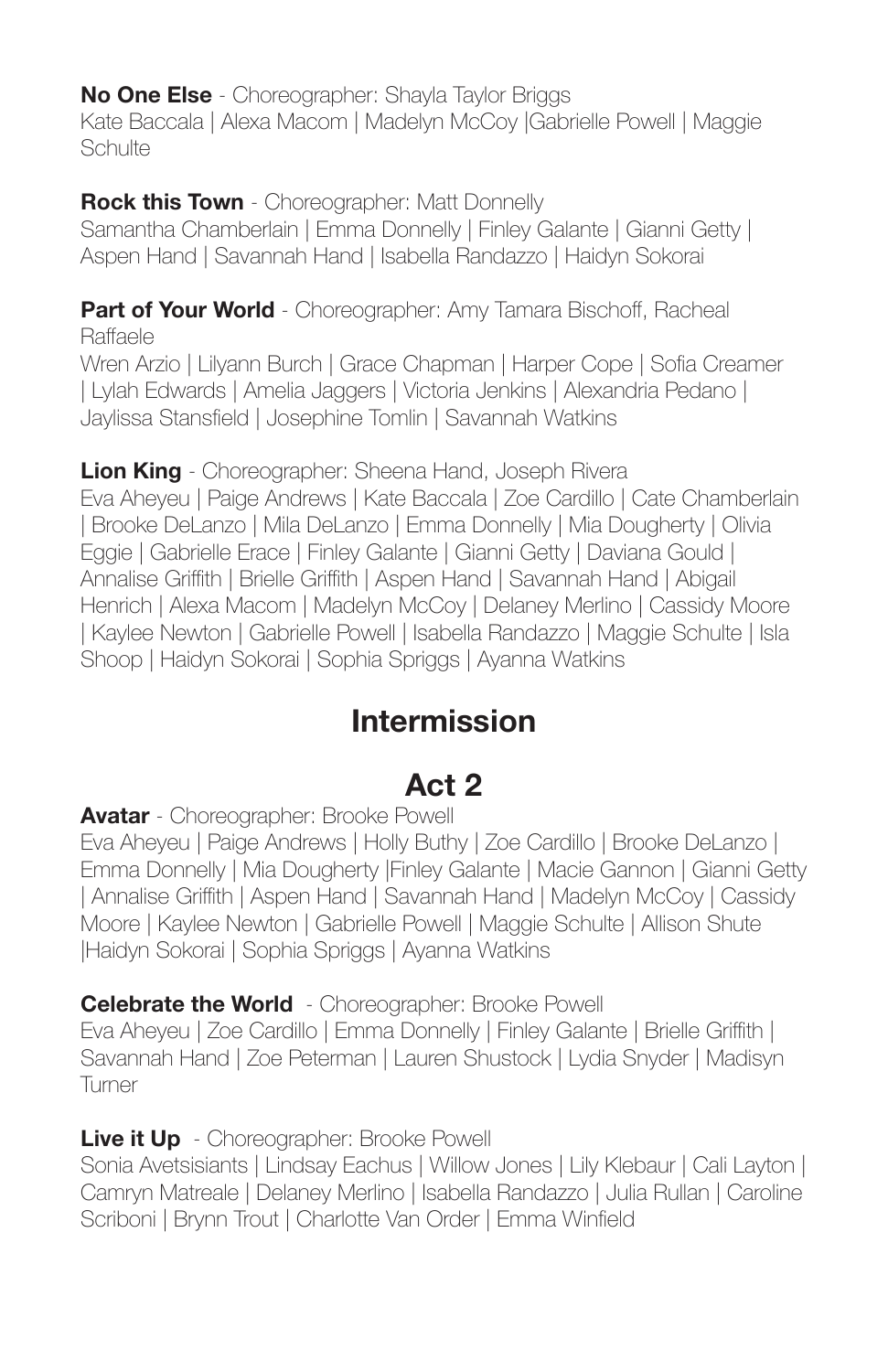**No One Else** - Choreographer: Shayla Taylor Briggs Kate Baccala | Alexa Macom | Madelyn McCoy |Gabrielle Powell | Maggie **Schulte** 

**Rock this Town** - Choreographer: Matt Donnelly Samantha Chamberlain | Emma Donnelly | Finley Galante | Gianni Getty | Aspen Hand | Savannah Hand | Isabella Randazzo | Haidyn Sokorai

**Part of Your World** - Choreographer: Amy Tamara Bischoff, Racheal Raffaele

Wren Arzio | Lilyann Burch | Grace Chapman | Harper Cope | Sofia Creamer | Lylah Edwards | Amelia Jaggers | Victoria Jenkins | Alexandria Pedano | Jaylissa Stansfield | Josephine Tomlin | Savannah Watkins

**Lion King** - Choreographer: Sheena Hand, Joseph Rivera Eva Aheyeu | Paige Andrews | Kate Baccala | Zoe Cardillo | Cate Chamberlain | Brooke DeLanzo | Mila DeLanzo | Emma Donnelly | Mia Dougherty | Olivia Eggie | Gabrielle Erace | Finley Galante | Gianni Getty | Daviana Gould | Annalise Griffith | Brielle Griffith | Aspen Hand | Savannah Hand | Abigail Henrich | Alexa Macom | Madelyn McCoy | Delaney Merlino | Cassidy Moore | Kaylee Newton | Gabrielle Powell | Isabella Randazzo | Maggie Schulte | Isla Shoop | Haidyn Sokorai | Sophia Spriggs | Ayanna Watkins

# **Intermission**

# **Act 2**

**Avatar** - Choreographer: Brooke Powell

Eva Aheyeu | Paige Andrews | Holly Buthy | Zoe Cardillo | Brooke DeLanzo | Emma Donnelly | Mia Dougherty |Finley Galante | Macie Gannon | Gianni Getty | Annalise Griffith | Aspen Hand | Savannah Hand | Madelyn McCoy | Cassidy Moore | Kaylee Newton | Gabrielle Powell | Maggie Schulte | Allison Shute |Haidyn Sokorai | Sophia Spriggs | Ayanna Watkins

**Celebrate the World** - Choreographer: Brooke Powell

Eva Aheyeu | Zoe Cardillo | Emma Donnelly | Finley Galante | Brielle Griffith | Savannah Hand | Zoe Peterman | Lauren Shustock | Lydia Snyder | Madisyn **Turner** 

**Live it Up** - Choreographer: Brooke Powell

Sonia Avetsisiants | Lindsay Eachus | Willow Jones | Lily Klebaur | Cali Layton | Camryn Matreale | Delaney Merlino | Isabella Randazzo | Julia Rullan | Caroline Scriboni | Brynn Trout | Charlotte Van Order | Emma Winfield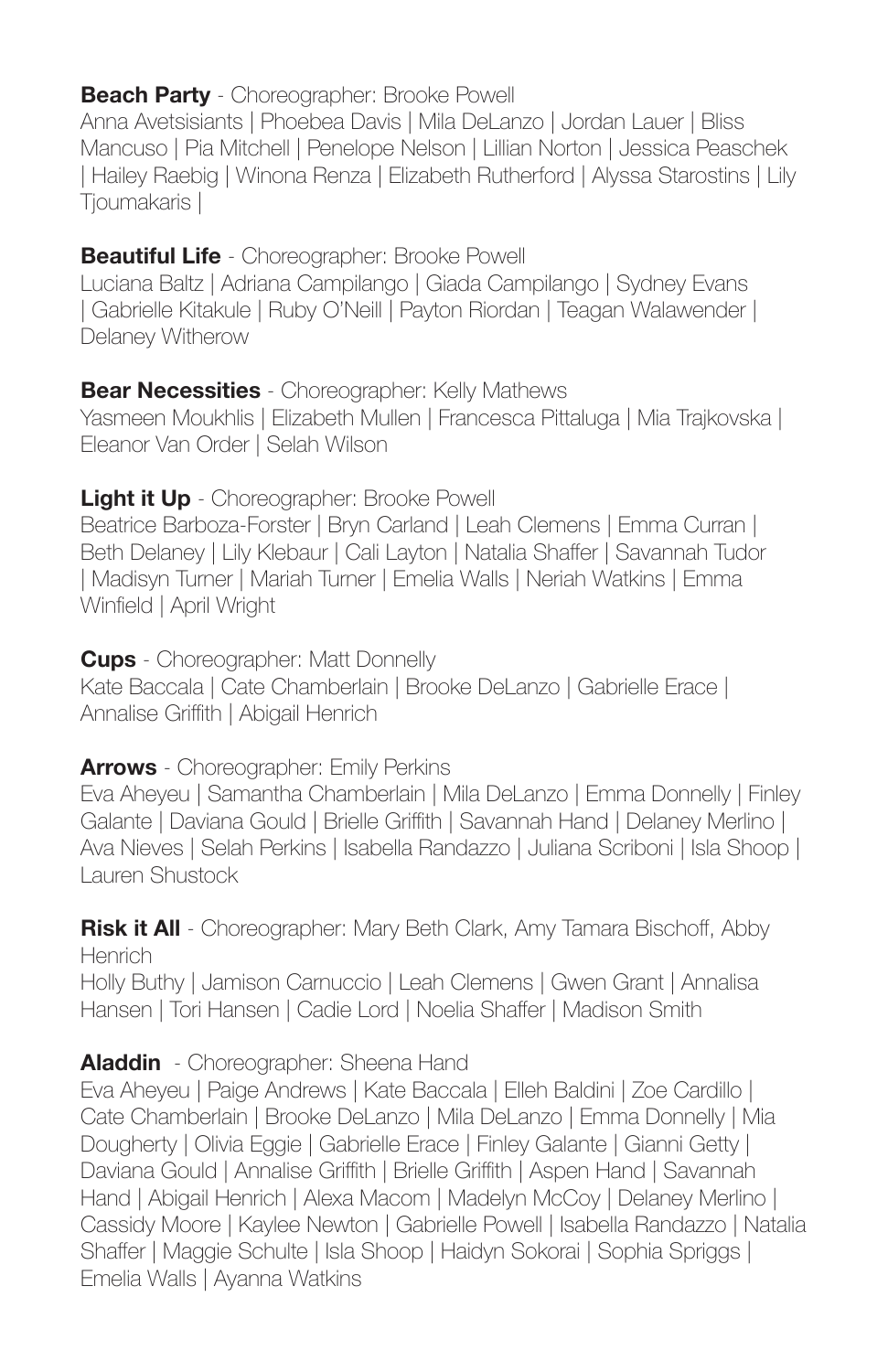#### **Beach Party** - Choreographer: Brooke Powell

Anna Avetsisiants | Phoebea Davis | Mila DeLanzo | Jordan Lauer | Bliss Mancuso | Pia Mitchell | Penelope Nelson | Lillian Norton | Jessica Peaschek | Hailey Raebig | Winona Renza | Elizabeth Rutherford | Alyssa Starostins | Lily Tjoumakaris |

### **Beautiful Life** - Choreographer: Brooke Powell

Luciana Baltz | Adriana Campilango | Giada Campilango | Sydney Evans | Gabrielle Kitakule | Ruby O'Neill | Payton Riordan | Teagan Walawender | Delaney Witherow

### **Bear Necessities** - Choreographer: Kelly Mathews

Yasmeen Moukhlis | Elizabeth Mullen | Francesca Pittaluga | Mia Trajkovska | Eleanor Van Order | Selah Wilson

### **Light it Up** - Choreographer: Brooke Powell

Beatrice Barboza-Forster | Bryn Carland | Leah Clemens | Emma Curran | Beth Delaney | Lily Klebaur | Cali Layton | Natalia Shaffer | Savannah Tudor | Madisyn Turner | Mariah Turner | Emelia Walls | Neriah Watkins | Emma Winfield | April Wright

**Cups** - Choreographer: Matt Donnelly Kate Baccala | Cate Chamberlain | Brooke DeLanzo | Gabrielle Erace | Annalise Griffith | Abigail Henrich

### **Arrows** - Choreographer: Emily Perkins

Eva Aheyeu | Samantha Chamberlain | Mila DeLanzo | Emma Donnelly | Finley Galante | Daviana Gould | Brielle Griffith | Savannah Hand | Delaney Merlino | Ava Nieves | Selah Perkins | Isabella Randazzo | Juliana Scriboni | Isla Shoop | Lauren Shustock

**Risk it All** - Choreographer: Mary Beth Clark, Amy Tamara Bischoff, Abby Henrich Holly Buthy | Jamison Carnuccio | Leah Clemens | Gwen Grant | Annalisa Hansen | Tori Hansen | Cadie Lord | Noelia Shaffer | Madison Smith

### **Aladdin** - Choreographer: Sheena Hand

Eva Aheyeu | Paige Andrews | Kate Baccala | Elleh Baldini | Zoe Cardillo | Cate Chamberlain | Brooke DeLanzo | Mila DeLanzo | Emma Donnelly | Mia Dougherty | Olivia Eggie | Gabrielle Erace | Finley Galante | Gianni Getty | Daviana Gould | Annalise Griffith | Brielle Griffith | Aspen Hand | Savannah Hand | Abigail Henrich | Alexa Macom | Madelyn McCoy | Delaney Merlino | Cassidy Moore | Kaylee Newton | Gabrielle Powell | Isabella Randazzo | Natalia Shaffer | Maggie Schulte | Isla Shoop | Haidyn Sokorai | Sophia Spriggs | Emelia Walls | Ayanna Watkins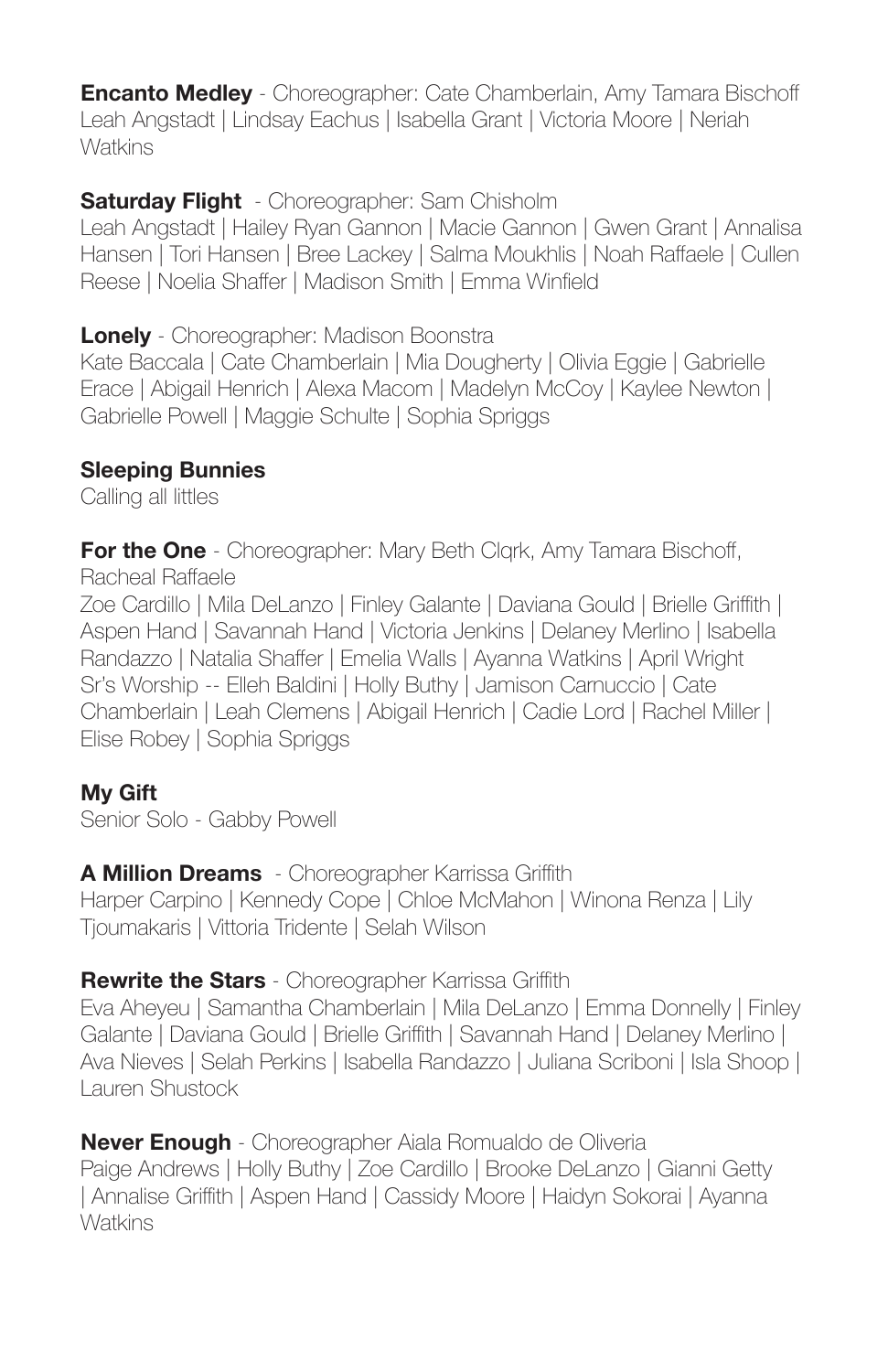**Encanto Medley** - Choreographer: Cate Chamberlain, Amy Tamara Bischoff Leah Angstadt | Lindsay Eachus | Isabella Grant | Victoria Moore | Neriah Watkins

**Saturday Flight** - Choreographer: Sam Chisholm

Leah Angstadt | Hailey Ryan Gannon | Macie Gannon | Gwen Grant | Annalisa Hansen | Tori Hansen | Bree Lackey | Salma Moukhlis | Noah Raffaele | Cullen Reese | Noelia Shaffer | Madison Smith | Emma Winfield

**Lonely** - Choreographer: Madison Boonstra

Kate Baccala | Cate Chamberlain | Mia Dougherty | Olivia Eggie | Gabrielle Erace | Abigail Henrich | Alexa Macom | Madelyn McCoy | Kaylee Newton | Gabrielle Powell | Maggie Schulte | Sophia Spriggs

### **Sleeping Bunnies**

Calling all littles

**For the One** - Choreographer: Mary Beth Clgrk, Amy Tamara Bischoff, Racheal Raffaele

Zoe Cardillo | Mila DeLanzo | Finley Galante | Daviana Gould | Brielle Griffith | Aspen Hand | Savannah Hand | Victoria Jenkins | Delaney Merlino | Isabella Randazzo | Natalia Shaffer | Emelia Walls | Ayanna Watkins | April Wright Sr's Worship -- Elleh Baldini | Holly Buthy | Jamison Carnuccio | Cate Chamberlain | Leah Clemens | Abigail Henrich | Cadie Lord | Rachel Miller | Elise Robey | Sophia Spriggs

### **My Gift**

Senior Solo - Gabby Powell

### **A Million Dreams** - Choreographer Karrissa Griffith

Harper Carpino | Kennedy Cope | Chloe McMahon | Winona Renza | Lily Tjoumakaris | Vittoria Tridente | Selah Wilson

### **Rewrite the Stars** - Choreographer Karrissa Griffith

Eva Aheyeu | Samantha Chamberlain | Mila DeLanzo | Emma Donnelly | Finley Galante | Daviana Gould | Brielle Griffith | Savannah Hand | Delaney Merlino | Ava Nieves | Selah Perkins | Isabella Randazzo | Juliana Scriboni | Isla Shoop | Lauren Shustock

**Never Enough** - Choreographer Aiala Romualdo de Oliveria Paige Andrews | Holly Buthy | Zoe Cardillo | Brooke DeLanzo | Gianni Getty | Annalise Griffith | Aspen Hand | Cassidy Moore | Haidyn Sokorai | Ayanna **Watkins**